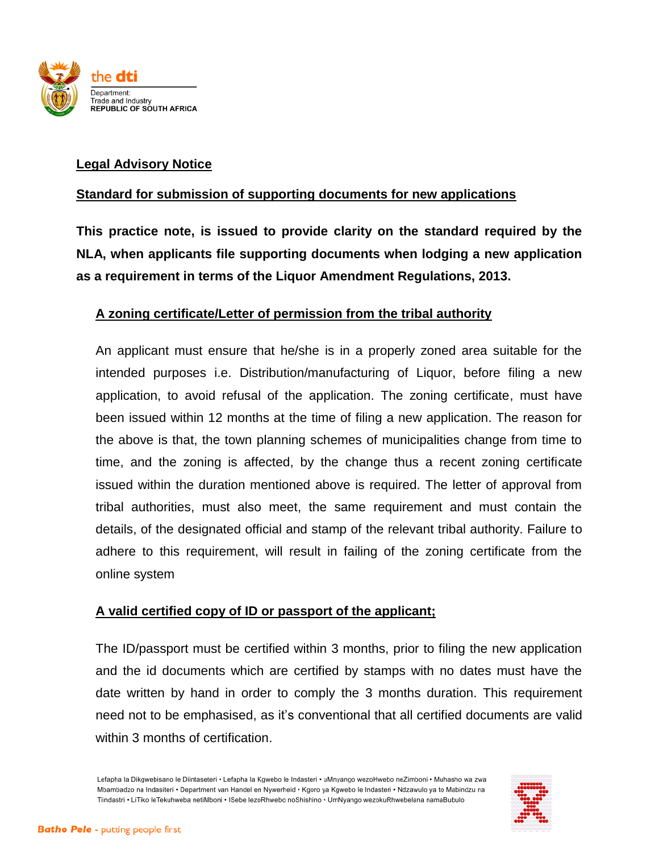

## **Legal Advisory Notice**

### **Standard for submission of supporting documents for new applications**

**This practice note, is issued to provide clarity on the standard required by the NLA, when applicants file supporting documents when lodging a new application as a requirement in terms of the Liquor Amendment Regulations, 2013.**

### **A zoning certificate/Letter of permission from the tribal authority**

An applicant must ensure that he/she is in a properly zoned area suitable for the intended purposes i.e. Distribution/manufacturing of Liquor, before filing a new application, to avoid refusal of the application. The zoning certificate, must have been issued within 12 months at the time of filing a new application. The reason for the above is that, the town planning schemes of municipalities change from time to time, and the zoning is affected, by the change thus a recent zoning certificate issued within the duration mentioned above is required. The letter of approval from tribal authorities, must also meet, the same requirement and must contain the details, of the designated official and stamp of the relevant tribal authority. Failure to adhere to this requirement, will result in failing of the zoning certificate from the online system

### **A valid certified copy of ID or passport of the applicant;**

The ID/passport must be certified within 3 months, prior to filing the new application and the id documents which are certified by stamps with no dates must have the date written by hand in order to comply the 3 months duration. This requirement need not to be emphasised, as it's conventional that all certified documents are valid within 3 months of certification.

Lefapha la Dikgwebisano le Diintaseteri • Lefapha la Kgwebo le Indasteri • uMnyango wezoHwebo neZimboni • Muhasho wa zwa Mbambadzo na Indasiteri · Department van Handel en Nywerheid · Kgoro ya Kgwebo le Indasteri · Ndzawulo ya to Mabindzu na Tiindastri · LiTiko leTekuhweba netiMboni · ISebe lezoRhwebo noShishino · UmNyango wezokuRhwebelana namaBubulo

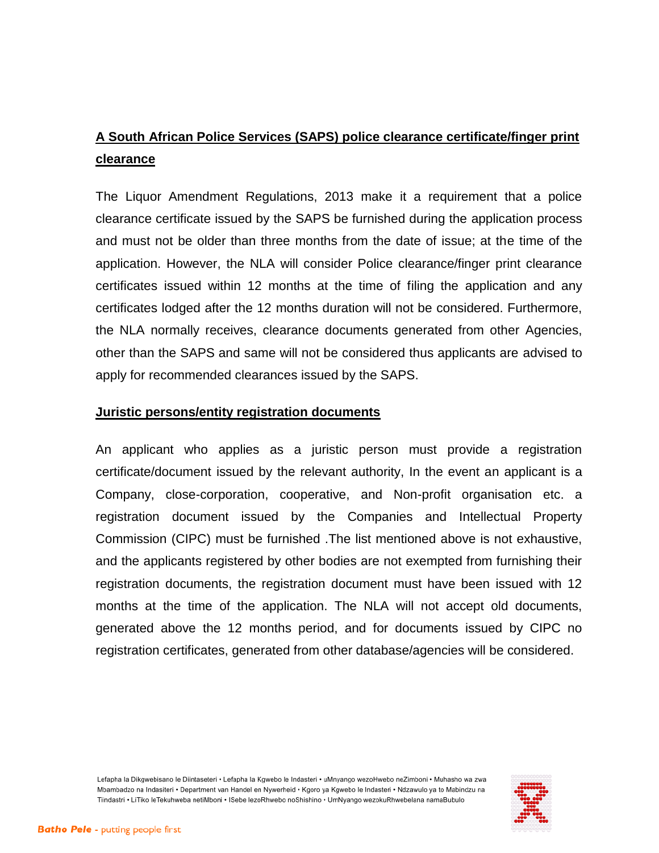# **A South African Police Services (SAPS) police clearance certificate/finger print clearance**

The Liquor Amendment Regulations, 2013 make it a requirement that a police clearance certificate issued by the SAPS be furnished during the application process and must not be older than three months from the date of issue; at the time of the application. However, the NLA will consider Police clearance/finger print clearance certificates issued within 12 months at the time of filing the application and any certificates lodged after the 12 months duration will not be considered. Furthermore, the NLA normally receives, clearance documents generated from other Agencies, other than the SAPS and same will not be considered thus applicants are advised to apply for recommended clearances issued by the SAPS.

#### **Juristic persons/entity registration documents**

An applicant who applies as a juristic person must provide a registration certificate/document issued by the relevant authority, In the event an applicant is a Company, close-corporation, cooperative, and Non-profit organisation etc. a registration document issued by the Companies and Intellectual Property Commission (CIPC) must be furnished .The list mentioned above is not exhaustive, and the applicants registered by other bodies are not exempted from furnishing their registration documents, the registration document must have been issued with 12 months at the time of the application. The NLA will not accept old documents, generated above the 12 months period, and for documents issued by CIPC no registration certificates, generated from other database/agencies will be considered.

Lefapha la Dikgwebisano le Diintaseteri • Lefapha la Kgwebo le Indasteri • uMnyango wezoHwebo neZimboni • Muhasho wa zwa Mbambadzo na Indasiteri · Department van Handel en Nywerheid · Kgoro ya Kgwebo le Indasteri · Ndzawulo ya to Mabindzu na Tiindastri · LiTiko leTekuhweba netiMboni · ISebe lezoRhwebo noShishino · UmNyango wezokuRhwebelana namaBubulo